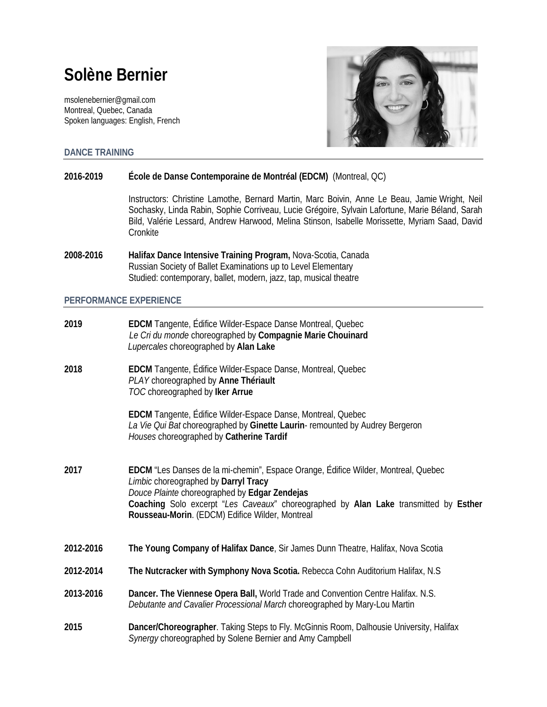# **Solène Bernier**

[msolenebernier@gmail.com](mailto:msolenebernier@gmail.com) Montreal, Quebec, Canada Spoken languages: English, French



**DANCE TRAINING**

## **2016-2019 École de Danse Contemporaine de Montréal (EDCM)** (Montreal, QC)

Instructors: Christine Lamothe, Bernard Martin, Marc Boivin, Anne Le Beau, Jamie Wright, Neil Sochasky, Linda Rabin, Sophie Corriveau, Lucie Grégoire, Sylvain Lafortune, Marie Béland, Sarah Bild, Valérie Lessard, Andrew Harwood, Melina Stinson, Isabelle Morissette, Myriam Saad, David Cronkite

**2008-2016 Halifax Dance Intensive Training Program,** Nova-Scotia, Canada Russian Society of Ballet Examinations up to Level Elementary Studied: contemporary, ballet, modern, jazz, tap, musical theatre

## **PERFORMANCE EXPERIENCE**

| 2019      | EDCM Tangente, Édifice Wilder-Espace Danse Montreal, Quebec<br>Le Cri du monde choreographed by Compagnie Marie Chouinard<br>Lupercales choreographed by Alan Lake                                                                                                                                                     |
|-----------|------------------------------------------------------------------------------------------------------------------------------------------------------------------------------------------------------------------------------------------------------------------------------------------------------------------------|
| 2018      | EDCM Tangente, Édifice Wilder-Espace Danse, Montreal, Quebec<br>PLAY choreographed by Anne Thériault<br>TOC choreographed by Iker Arrue                                                                                                                                                                                |
|           | EDCM Tangente, Édifice Wilder-Espace Danse, Montreal, Quebec<br>La Vie Qui Bat choreographed by Ginette Laurin- remounted by Audrey Bergeron<br>Houses choreographed by Catherine Tardif                                                                                                                               |
| 2017      | EDCM "Les Danses de la mi-chemin", Espace Orange, Édifice Wilder, Montreal, Quebec<br>Limbic choreographed by Darryl Tracy<br>Douce Plainte choreographed by Edgar Zendejas<br>Coaching Solo excerpt "Les Caveaux" choreographed by Alan Lake transmitted by Esther<br>Rousseau-Morin. (EDCM) Edifice Wilder, Montreal |
| 2012-2016 | The Young Company of Halifax Dance, Sir James Dunn Theatre, Halifax, Nova Scotia                                                                                                                                                                                                                                       |
| 2012-2014 | The Nutcracker with Symphony Nova Scotia. Rebecca Cohn Auditorium Halifax, N.S.                                                                                                                                                                                                                                        |
| 2013-2016 | Dancer. The Viennese Opera Ball, World Trade and Convention Centre Halifax. N.S.<br>Debutante and Cavalier Processional March choreographed by Mary-Lou Martin                                                                                                                                                         |
| 2015      | Dancer/Choreographer. Taking Steps to Fly. McGinnis Room, Dalhousie University, Halifax<br>Synergy choreographed by Solene Bernier and Amy Campbell                                                                                                                                                                    |